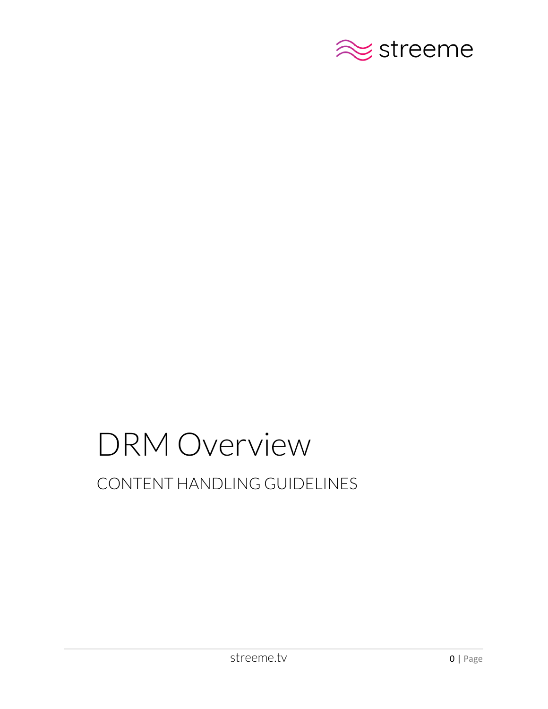

# DRM Overview CONTENT HANDLING GUIDELINES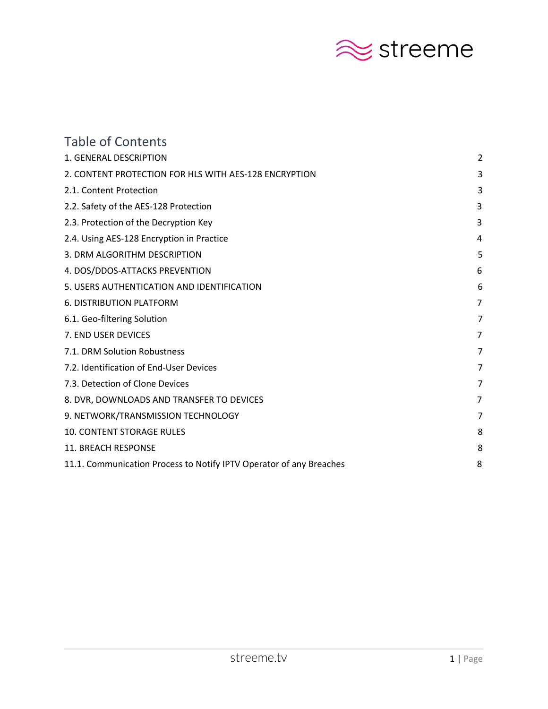

| <b>Table of Contents</b>                                            |                |
|---------------------------------------------------------------------|----------------|
| 1. GENERAL DESCRIPTION                                              | 2              |
| 2. CONTENT PROTECTION FOR HLS WITH AES-128 ENCRYPTION               | 3              |
| 2.1. Content Protection                                             | 3              |
| 2.2. Safety of the AES-128 Protection                               | 3              |
| 2.3. Protection of the Decryption Key                               | 3              |
| 2.4. Using AES-128 Encryption in Practice                           | 4              |
| 3. DRM ALGORITHM DESCRIPTION                                        | 5              |
| 4. DOS/DDOS-ATTACKS PREVENTION                                      | 6              |
| 5. USERS AUTHENTICATION AND IDENTIFICATION                          | 6              |
| <b>6. DISTRIBUTION PLATFORM</b>                                     | $\overline{7}$ |
| 6.1. Geo-filtering Solution                                         | 7              |
| 7. END USER DEVICES                                                 | 7              |
| 7.1. DRM Solution Robustness                                        | 7              |
| 7.2. Identification of End-User Devices                             | 7              |
| 7.3. Detection of Clone Devices                                     | 7              |
| 8. DVR, DOWNLOADS AND TRANSFER TO DEVICES                           | 7              |
| 9. NETWORK/TRANSMISSION TECHNOLOGY                                  | 7              |
| <b>10. CONTENT STORAGE RULES</b>                                    | 8              |
| 11. BREACH RESPONSE                                                 | 8              |
| 11.1. Communication Process to Notify IPTV Operator of any Breaches | 8              |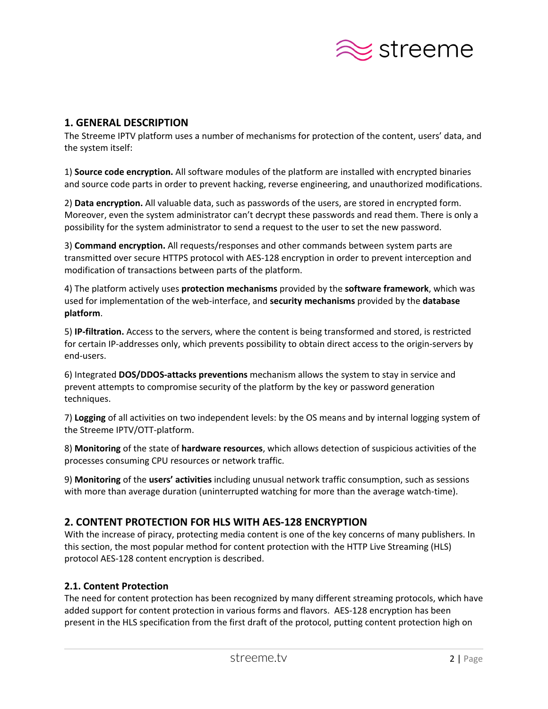

# <span id="page-2-0"></span>**1. GENERAL DESCRIPTION**

The Streeme IPTV platform uses a number of mechanisms for protection of the content, users' data, and the system itself:

1) **Source code encryption.** All software modules of the platform are installed with encrypted binaries and source code parts in order to prevent hacking, reverse engineering, and unauthorized modifications.

2) **Data encryption.** All valuable data, such as passwords of the users, are stored in encrypted form. Moreover, even the system administrator can't decrypt these passwords and read them. There is only a possibility for the system administrator to send a request to the user to set the new password.

3) **Command encryption.** All requests/responses and other commands between system parts are transmitted over secure HTTPS protocol with AES-128 encryption in order to prevent interception and modification of transactions between parts of the platform.

4) The platform actively uses **protection mechanisms** provided by the **software framework**, which was used for implementation of the web-interface, and **security mechanisms** provided by the **database platform**.

5) **IP-filtration.** Access to the servers, where the content is being transformed and stored, is restricted for certain IP-addresses only, which prevents possibility to obtain direct access to the origin-servers by end-users.

6) Integrated **DOS/DDOS-attacks preventions** mechanism allows the system to stay in service and prevent attempts to compromise security of the platform by the key or password generation techniques.

7) **Logging** of all activities on two independent levels: by the OS means and by internal logging system of the Streeme IPTV/OTT-platform.

8) **Monitoring** of the state of **hardware resources**, which allows detection of suspicious activities of the processes consuming CPU resources or network traffic.

9) **Monitoring** of the **users' activities** including unusual network traffic consumption, such as sessions with more than average duration (uninterrupted watching for more than the average watch-time).

# **2. CONTENT PROTECTION FOR HLS WITH AES-128 ENCRYPTION**

With the increase of piracy, protecting media content is one of the key concerns of many publishers. In this section, the most popular method for content protection with the HTTP Live Streaming (HLS) protocol AES-128 content encryption is described.

# <span id="page-2-1"></span>**2.1. Content Protection**

The need for content protection has been recognized by many different streaming protocols, which have added support for content protection in various forms and flavors. AES-128 encryption has been present in the HLS specification from the first draft of the protocol, putting content protection high on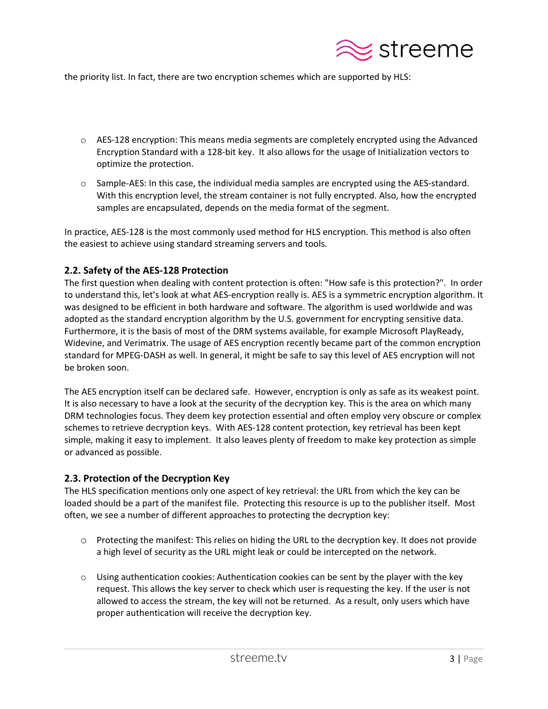

the priority list. In fact, there are two encryption schemes which are supported by HLS:

- $\circ$  AES-128 encryption: This means media segments are completely encrypted using the Advanced Encryption Standard with a 128-bit key. It also allows for the usage of Initialization vectors to optimize the protection.
- $\circ$  Sample-AES: In this case, the individual media samples are encrypted using the AES-standard. With this encryption level, the stream container is not fully encrypted. Also, how the encrypted samples are encapsulated, depends on the media format of the segment.

In practice, AES-128 is the most commonly used method for HLS encryption. This method is also often the easiest to achieve using standard streaming servers and tools.

## <span id="page-3-0"></span>**2.2. Safety of the AES-128 Protection**

The first question when dealing with content protection is often: "How safe is this protection?". In order to understand this, let's look at what AES-encryption really is. AES is a symmetric encryption algorithm. It was designed to be efficient in both hardware and software. The algorithm is used worldwide and was adopted as the standard encryption algorithm by the U.S. government for encrypting sensitive data. Furthermore, it is the basis of most of the DRM systems available, for example Microsoft PlayReady, Widevine, and Verimatrix. The usage of AES encryption recently became part of the common encryption standard for MPEG-DASH as well. In general, it might be safe to say this level of AES encryption will not be broken soon.

The AES encryption itself can be declared safe. However, encryption is only as safe as its weakest point. It is also necessary to have a look at the security of the decryption key. This is the area on which many DRM technologies focus. They deem key protection essential and often employ very obscure or complex schemes to retrieve decryption keys. With AES-128 content protection, key retrieval has been kept simple, making it easy to implement. It also leaves plenty of freedom to make key protection as simple or advanced as possible.

#### <span id="page-3-1"></span>**2.3. Protection of the Decryption Key**

The HLS specification mentions only one aspect of key retrieval: the URL from which the key can be loaded should be a part of the manifest file. Protecting this resource is up to the publisher itself. Most often, we see a number of different approaches to protecting the decryption key:

- o Protecting the manifest: This relies on hiding the URL to the decryption key. It does not provide a high level of security as the URL might leak or could be intercepted on the network.
- $\circ$  Using authentication cookies: Authentication cookies can be sent by the player with the key request. This allows the key server to check which user is requesting the key. If the user is not allowed to access the stream, the key will not be returned. As a result, only users which have proper authentication will receive the decryption key.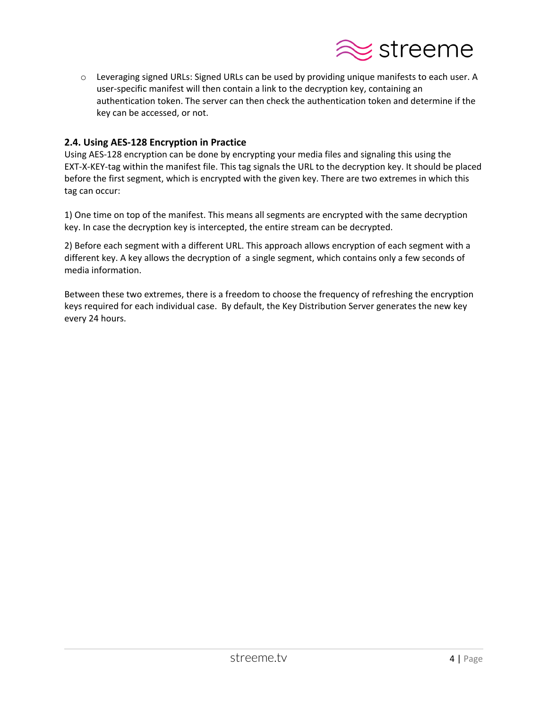

o Leveraging signed URLs: Signed URLs can be used by providing unique manifests to each user. A user-specific manifest will then contain a link to the decryption key, containing an authentication token. The server can then check the authentication token and determine if the key can be accessed, or not.

#### **2.4. Using AES-128 Encryption in Practice**

Using AES-128 encryption can be done by encrypting your media files and signaling this using the EXT-X-KEY-tag within the manifest file. This tag signals the URL to the decryption key. It should be placed before the first segment, which is encrypted with the given key. There are two extremes in which this tag can occur:

1) One time on top of the manifest. This means all segments are encrypted with the same decryption key. In case the decryption key is intercepted, the entire stream can be decrypted.

2) Before each segment with a different URL. This approach allows encryption of each segment with a different key. A key allows the decryption of a single segment, which contains only a few seconds of media information.

Between these two extremes, there is a freedom to choose the frequency of refreshing the encryption keys required for each individual case. By default, the Key Distribution Server generates the new key every 24 hours.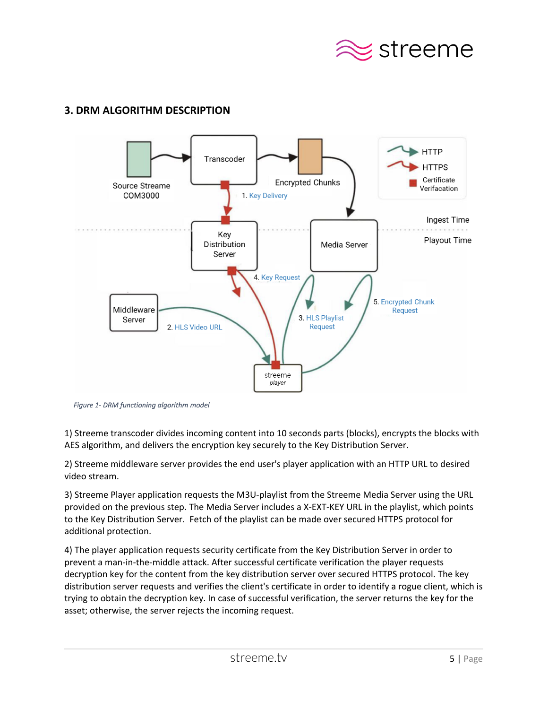

# <span id="page-5-0"></span>**3. DRM ALGORITHM DESCRIPTION**



Figure 1- DRM functioning algorithm model

1) Streeme transcoder divides incoming content into 10 seconds parts (blocks), encrypts the blocks with AES algorithm, and delivers the encryption key securely to the Key Distribution Server.

2) Streeme middleware server provides the end user's player application with an HTTP URL to desired video stream.

3) Streeme Player application requests the M3U-playlist from the Streeme Media Server using the URL provided on the previous step. The Media Server includes a X-EXT-KEY URL in the playlist, which points to the Key Distribution Server. Fetch of the playlist can be made over secured HTTPS protocol for additional protection.

4) The player application requests security certificate from the Key Distribution Server in order to prevent a man-in-the-middle attack. After successful certificate verification the player requests decryption key for the content from the key distribution server over secured HTTPS protocol. The key distribution server requests and verifies the client's certificate in order to identify a rogue client, which is trying to obtain the decryption key. In case of successful verification, the server returns the key for the asset; otherwise, the server rejects the incoming request.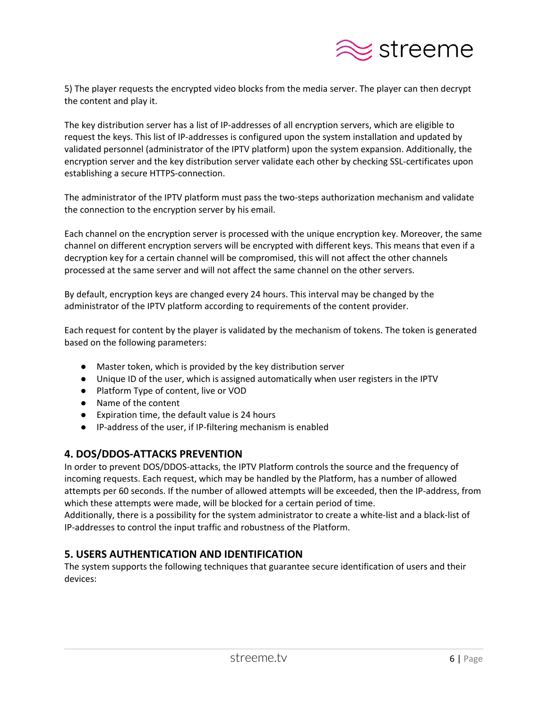

5) The player requests the encrypted video blocks from the media server. The player can then decrypt the content and play it.

The key distribution server has a list of IP-addresses of all encryption servers, which are eligible to request the keys. This list of IP-addresses is configured upon the system installation and updated by validated personnel (administrator of the IPTV platform) upon the system expansion. Additionally, the encryption server and the key distribution server validate each other by checking SSL-certificates upon establishing a secure HTTPS-connection.

The administrator of the IPTV platform must pass the two-steps authorization mechanism and validate the connection to the encryption server by his email.

Each channel on the encryption server is processed with the unique encryption key. Moreover, the same channel on different encryption servers will be encrypted with different keys. This means that even if a decryption key for a certain channel will be compromised, this will not affect the other channels processed at the same server and will not affect the same channel on the other servers.

By default, encryption keys are changed every 24 hours. This interval may be changed by the administrator of the IPTV platform according to requirements of the content provider.

Each request for content by the player is validated by the mechanism of tokens. The token is generated based on the following parameters:

- Master token, which is provided by the key distribution server
- Unique ID of the user, which is assigned automatically when user registers in the IPTV
- Platform Type of content, live or VOD
- Name of the content
- Expiration time, the default value is 24 hours
- IP-address of the user, if IP-filtering mechanism is enabled

# <span id="page-6-0"></span>**4. DOS/DDOS-ATTACKS PREVENTION**

In order to prevent DOS/DDOS-attacks, the IPTV Platform controls the source and the frequency of incoming requests. Each request, which may be handled by the Platform, has a number of allowed attempts per 60 seconds. If the number of allowed attempts will be exceeded, then the IP-address, from which these attempts were made, will be blocked for a certain period of time.

Additionally, there is a possibility for the system administrator to create a white-list and a black-list of IP-addresses to control the input traffic and robustness of the Platform.

# <span id="page-6-1"></span>**5. USERS AUTHENTICATION AND IDENTIFICATION**

The system supports the following techniques that guarantee secure identification of users and their devices: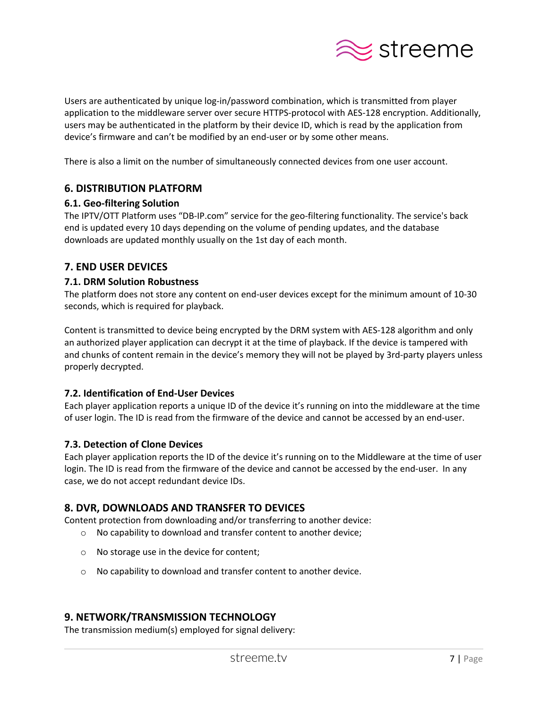

Users are authenticated by unique log-in/password combination, which is transmitted from player application to the middleware server over secure HTTPS-protocol with AES-128 encryption. Additionally, users may be authenticated in the platform by their device ID, which is read by the application from device's firmware and can't be modified by an end-user or by some other means.

There is also a limit on the number of simultaneously connected devices from one user account.

# <span id="page-7-0"></span>**6. DISTRIBUTION PLATFORM**

#### <span id="page-7-1"></span>**6.1. Geo-filtering Solution**

The IPTV/OTT Platform uses "DB-IP.com" service for the geo-filtering functionality. The service's back end is updated every 10 days depending on the volume of pending updates, and the database downloads are updated monthly usually on the 1st day of each month.

## <span id="page-7-2"></span>**7. END USER DEVICES**

#### <span id="page-7-3"></span>**7.1. DRM Solution Robustness**

The platform does not store any content on end-user devices except for the minimum amount of 10-30 seconds, which is required for playback.

Content is transmitted to device being encrypted by the DRM system with AES-128 algorithm and only an authorized player application can decrypt it at the time of playback. If the device is tampered with and chunks of content remain in the device's memory they will not be played by 3rd-party players unless properly decrypted.

#### <span id="page-7-4"></span>**7.2. Identification of End-User Devices**

Each player application reports a unique ID of the device it's running on into the middleware at the time of user login. The ID is read from the firmware of the device and cannot be accessed by an end-user.

#### <span id="page-7-5"></span>**7.3. Detection of Clone Devices**

Each player application reports the ID of the device it's running on to the Middleware at the time of user login. The ID is read from the firmware of the device and cannot be accessed by the end-user. In any case, we do not accept redundant device IDs.

# <span id="page-7-6"></span>**8. DVR, DOWNLOADS AND TRANSFER TO DEVICES**

Content protection from downloading and/or transferring to another device:

- o No capability to download and transfer content to another device;
- o No storage use in the device for content;
- o No capability to download and transfer content to another device.

# **9. NETWORK/TRANSMISSION TECHNOLOGY**

The transmission medium(s) employed for signal delivery: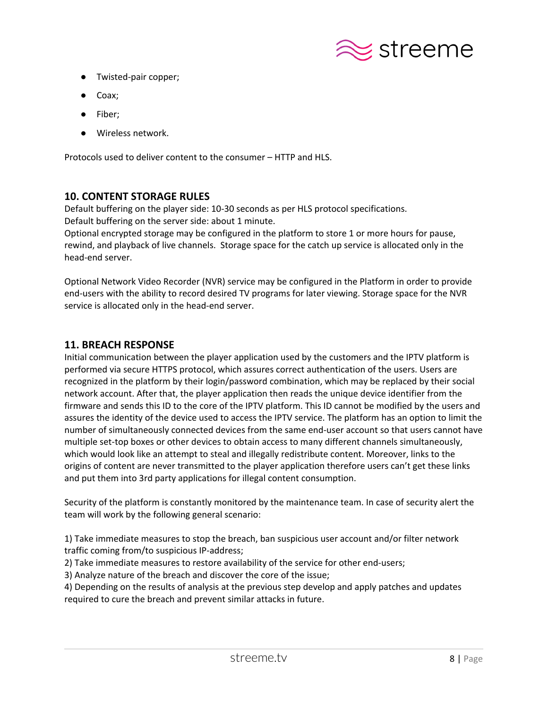

- Twisted-pair copper;
- Coax;
- Fiber;
- Wireless network.

Protocols used to deliver content to the consumer – HTTP and HLS.

# <span id="page-8-0"></span>**10. CONTENT STORAGE RULES**

Default buffering on the player side: 10-30 seconds as per HLS protocol specifications.

Default buffering on the server side: about 1 minute.

Optional encrypted storage may be configured in the platform to store 1 or more hours for pause, rewind, and playback of live channels. Storage space for the catch up service is allocated only in the head-end server.

Optional Network Video Recorder (NVR) service may be configured in the Platform in order to provide end-users with the ability to record desired TV programs for later viewing. Storage space for the NVR service is allocated only in the head-end server.

#### <span id="page-8-1"></span>**11. BREACH RESPONSE**

Initial communication between the player application used by the customers and the IPTV platform is performed via secure HTTPS protocol, which assures correct authentication of the users. Users are recognized in the platform by their login/password combination, which may be replaced by their social network account. After that, the player application then reads the unique device identifier from the firmware and sends this ID to the core of the IPTV platform. This ID cannot be modified by the users and assures the identity of the device used to access the IPTV service. The platform has an option to limit the number of simultaneously connected devices from the same end-user account so that users cannot have multiple set-top boxes or other devices to obtain access to many different channels simultaneously, which would look like an attempt to steal and illegally redistribute content. Moreover, links to the origins of content are never transmitted to the player application therefore users can't get these links and put them into 3rd party applications for illegal content consumption.

Security of the platform is constantly monitored by the maintenance team. In case of security alert the team will work by the following general scenario:

1) Take immediate measures to stop the breach, ban suspicious user account and/or filter network traffic coming from/to suspicious IP-address;

2) Take immediate measures to restore availability of the service for other end-users;

3) Analyze nature of the breach and discover the core of the issue;

4) Depending on the results of analysis at the previous step develop and apply patches and updates required to cure the breach and prevent similar attacks in future.